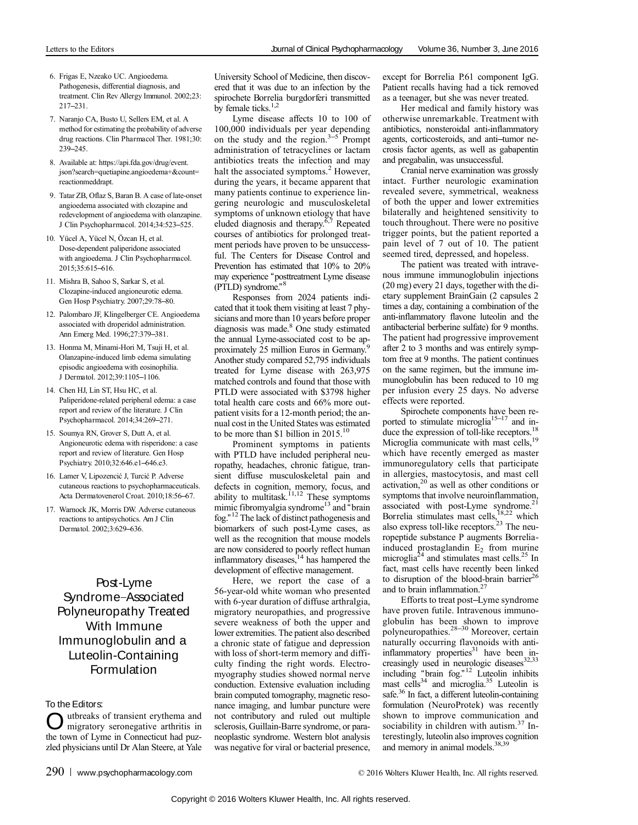- 6. Frigas E, Nzeako UC. Angioedema. Pathogenesis, differential diagnosis, and treatment. Clin Rev Allergy Immunol. 2002;23: 217–231.
- 7. Naranjo CA, Busto U, Sellers EM, et al. A method for estimating the probability of adverse drug reactions. Clin Pharmacol Ther. 1981;30: 239–245.
- 8. Available at: https://api.fda.gov/drug/event. json?search=quetiapine.angioedema+&count= reactionmeddrapt.
- 9. Tatar ZB, Oflaz S, Baran B. A case of late-onset angioedema associated with clozapine and redevelopment of angioedema with olanzapine. J Clin Psychopharmacol. 2014;34:523–525.
- 10. Yücel A, Yücel N, Özcan H, et al. Dose-dependent paliperidone associated with angioedema. J Clin Psychopharmacol. 2015;35:615–616.
- 11. Mishra B, Sahoo S, Sarkar S, et al. Clozapine-induced angioneurotic edema. Gen Hosp Psychiatry. 2007;29:78–80.
- 12. Palombaro JF, Klingelberger CE. Angioedema associated with droperidol administration. Ann Emerg Med. 1996;27:379–381.
- 13. Honma M, Minami-Hori M, Tsuji H, et al. Olanzapine-induced limb edema simulating episodic angioedema with eosinophilia. J Dermatol. 2012;39:1105–1106.
- 14. Chen HJ, Lin ST, Hsu HC, et al. Paliperidone-related peripheral edema: a case report and review of the literature. J Clin Psychopharmacol. 2014;34:269–271.
- 15. Soumya RN, Grover S, Dutt A, et al. Angioneurotic edema with risperidone: a case report and review of literature. Gen Hosp Psychiatry. 2010;32:646.e1–646.e3.
- 16. Lamer V, Lipozencić J, Turcić P. Adverse cutaneous reactions to psychopharmaceuticals. Acta Dermatovenerol Croat. 2010;18:56–67.
- 17. Warnock JK, Morris DW. Adverse cutaneous reactions to antipsychotics. Am J Clin Dermatol. 2002;3:629–636.

## Post-Lyme Syndrome–Associated Polyneuropathy Treated With Immune Immunoglobulin and a Luteolin-Containing Formulation

## To the Editors:

utbreaks of transient erythema and migratory seronegative arthritis in the town of Lyme in Connecticut had puzzled physicians until Dr Alan Steere, at Yale

University School of Medicine, then discovered that it was due to an infection by the spirochete Borrelia burgdorferi transmitted by female ticks. $1,2$ 

Lyme disease affects 10 to 100 of 100,000 individuals per year depending on the study and the region. $3-5$  Prompt administration of tetracyclines or lactam antibiotics treats the infection and may halt the associated symptoms.<sup>2</sup> However, during the years, it became apparent that many patients continue to experience lingering neurologic and musculoskeletal symptoms of unknown etiology that have eluded diagnosis and therapy.<sup> $\delta$ ,7</sup> Repeated courses of antibiotics for prolonged treatment periods have proven to be unsuccessful. The Centers for Disease Control and Prevention has estimated that 10% to 20% may experience "posttreatment Lyme disease (PTLD) syndrome." 8

Responses from 2024 patients indicated that it took them visiting at least 7 physicians and more than 10 years before proper diagnosis was made.<sup>8</sup> One study estimated the annual Lyme-associated cost to be approximately 25 million Euros in Germany.9 Another study compared 52,795 individuals treated for Lyme disease with 263,975 matched controls and found that those with PTLD were associated with \$3798 higher total health care costs and 66% more outpatient visits for a 12-month period; the annual cost in the United States was estimated to be more than \$1 billion in 2015.<sup>10</sup>

Prominent symptoms in patients with PTLD have included peripheral neuropathy, headaches, chronic fatigue, transient diffuse musculoskeletal pain and defects in cognition, memory, focus, and ability to multitask.<sup>11,12</sup> These symptoms mimic fibromyalgia syndrome<sup>13</sup> and "brain" fog." <sup>12</sup> The lack of distinct pathogenesis and biomarkers of such post-Lyme cases, as well as the recognition that mouse models are now considered to poorly reflect human inflammatory diseases,<sup>14</sup> has hampered the development of effective management.

Here, we report the case of a 56-year-old white woman who presented with 6-year duration of diffuse arthralgia, migratory neuropathies, and progressive severe weakness of both the upper and lower extremities. The patient also described a chronic state of fatigue and depression with loss of short-term memory and difficulty finding the right words. Electromyography studies showed normal nerve conduction. Extensive evaluation including brain computed tomography, magnetic resonance imaging, and lumbar puncture were not contributory and ruled out multiple sclerosis, Guillain-Barre syndrome, or paraneoplastic syndrome. Western blot analysis was negative for viral or bacterial presence,

except for Borrelia P.61 component IgG. Patient recalls having had a tick removed as a teenager, but she was never treated.

Her medical and family history was otherwise unremarkable. Treatment with antibiotics, nonsteroidal anti-inflammatory agents, corticosteroids, and anti–tumor necrosis factor agents, as well as gabapentin and pregabalin, was unsuccessful.

Cranial nerve examination was grossly intact. Further neurologic examination revealed severe, symmetrical, weakness of both the upper and lower extremities bilaterally and heightened sensitivity to touch throughout. There were no positive trigger points, but the patient reported a pain level of 7 out of 10. The patient seemed tired, depressed, and hopeless.

The patient was treated with intravenous immune immunoglobulin injections (20 mg) every 21 days, together with the dietary supplement BrainGain (2 capsules 2 times a day, containing a combination of the anti-inflammatory flavone luteolin and the antibacterial berberine sulfate) for 9 months. The patient had progressive improvement after 2 to 3 months and was entirely symptom free at 9 months. The patient continues on the same regimen, but the immune immunoglobulin has been reduced to 10 mg per infusion every 25 days. No adverse effects were reported.

Spirochete components have been reported to stimulate microglia<sup>15–17</sup> and induce the expression of toll-like receptors.<sup>18</sup> Microglia communicate with mast cells,<sup>19</sup> which have recently emerged as master immunoregulatory cells that participate in allergies, mastocytosis, and mast cell<br>activation,<sup>20</sup> as well as other conditions or symptoms that involve neuroinflammation, associated with post-Lyme syndrome.<sup>21</sup> Borrelia stimulates mast cells,<sup>18,22</sup> which also express toll-like receptors.<sup>23</sup> The neuropeptide substance P augments Borreliainduced prostaglandin  $E_2$  from murine microglia<sup>24</sup> and stimulates mast cells.<sup>25</sup> In fact, mast cells have recently been linked to disruption of the blood-brain barrier<sup>26</sup> and to brain inflammation.<sup>2</sup>

Efforts to treat post–Lyme syndrome have proven futile. Intravenous immunoglobulin has been shown to improve<br>polyneuropathies.<sup>28–30</sup> Moreover, certain naturally occurring flavonoids with antiinflammatory properties<sup>31</sup> have been increasingly used in neurologic diseases<sup>32,33</sup> including "brain fog." <sup>12</sup> Luteolin inhibits mast cells<sup>34</sup> and microglia.<sup>35</sup> Luteolin is safe.<sup>36</sup> In fact, a different luteolin-containing formulation (NeuroProtek) was recently shown to improve communication and sociability in children with autism. $37$  Interestingly, luteolin also improves cognition and memory in animal models.<sup>38,39</sup>